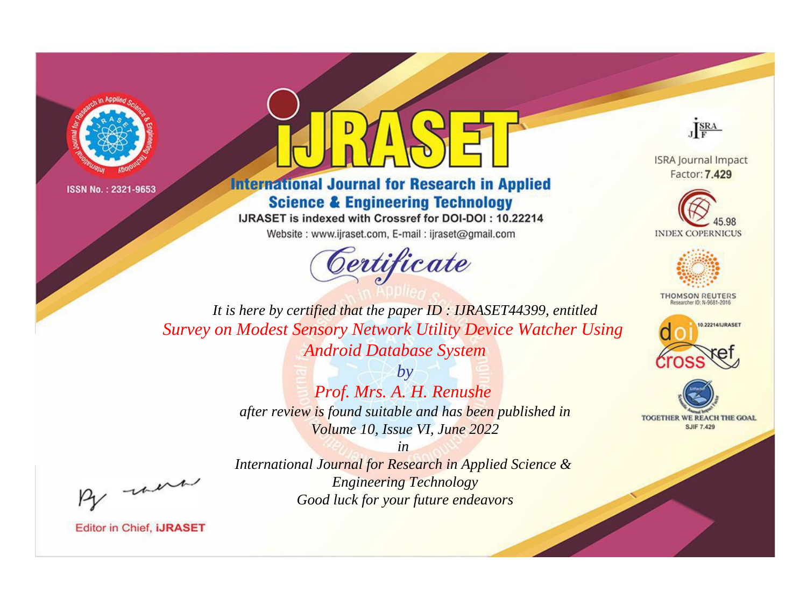



# **International Journal for Research in Applied Science & Engineering Technology**

IJRASET is indexed with Crossref for DOI-DOI: 10.22214

Website: www.ijraset.com, E-mail: ijraset@gmail.com





**ISRA Journal Impact** Factor: 7.429





**THOMSON REUTERS** 



TOGETHER WE REACH THE GOAL **SJIF 7.429** 

*It is here by certified that the paper ID : IJRASET44399, entitled Survey on Modest Sensory Network Utility Device Watcher Using Android Database System*

> *by Prof. Mrs. A. H. Renushe after review is found suitable and has been published in Volume 10, Issue VI, June 2022*

> > *in*

*International Journal for Research in Applied Science & Engineering Technology Good luck for your future endeavors*

, un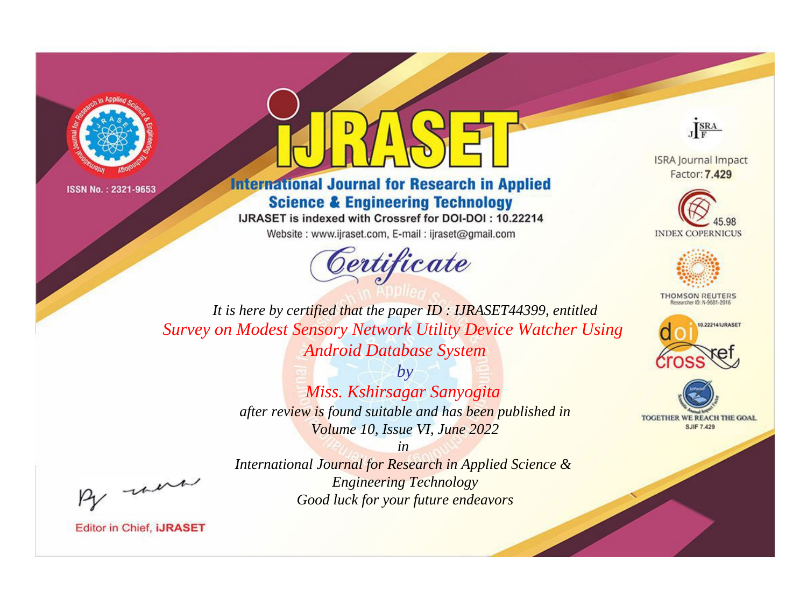



# **International Journal for Research in Applied Science & Engineering Technology**

IJRASET is indexed with Crossref for DOI-DOI: 10.22214

Website: www.ijraset.com, E-mail: ijraset@gmail.com





**ISRA Journal Impact** Factor: 7.429





**THOMSON REUTERS** 



TOGETHER WE REACH THE GOAL **SJIF 7.429** 

It is here by certified that the paper ID: IJRASET44399, entitled Survey on Modest Sensory Network Utility Device Watcher Using **Android Database System** 

> $b\nu$ Miss. Kshirsagar Sanyogita after review is found suitable and has been published in Volume 10, Issue VI, June 2022

were

**Editor in Chief, IJRASET** 

International Journal for Research in Applied Science & **Engineering Technology** Good luck for your future endeavors

 $in$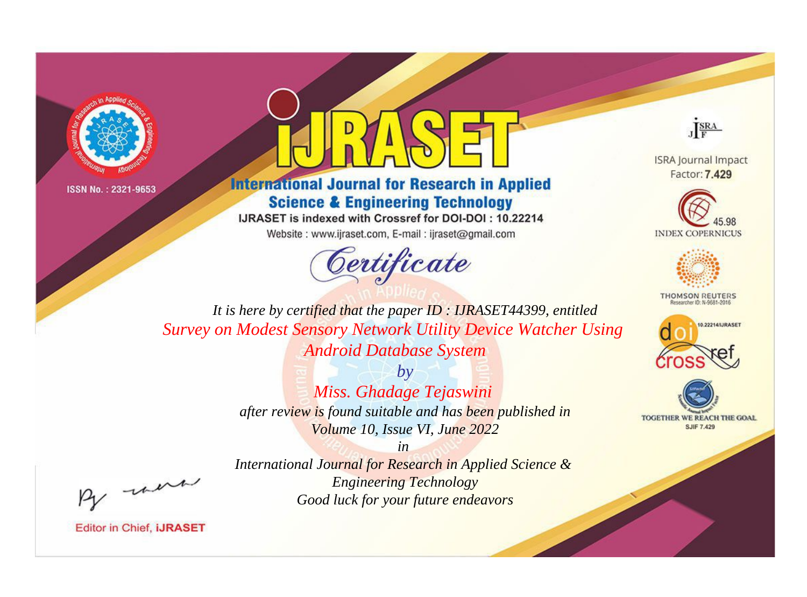



# **International Journal for Research in Applied Science & Engineering Technology**

IJRASET is indexed with Crossref for DOI-DOI: 10.22214

Website: www.ijraset.com, E-mail: ijraset@gmail.com





**ISRA Journal Impact** Factor: 7.429





**THOMSON REUTERS** 



TOGETHER WE REACH THE GOAL **SJIF 7.429** 

*It is here by certified that the paper ID : IJRASET44399, entitled Survey on Modest Sensory Network Utility Device Watcher Using Android Database System*

> *by Miss. Ghadage Tejaswini after review is found suitable and has been published in Volume 10, Issue VI, June 2022*

> > *in*

*International Journal for Research in Applied Science & Engineering Technology Good luck for your future endeavors*

, un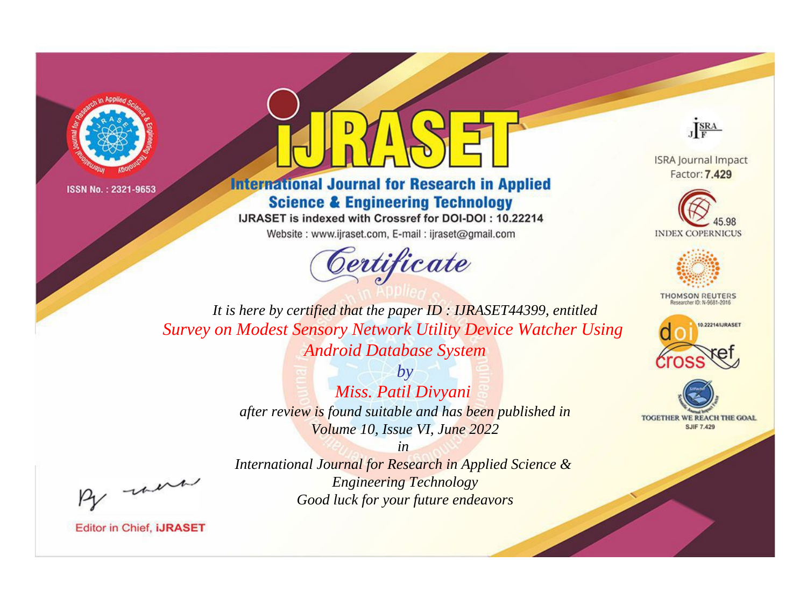



# **International Journal for Research in Applied Science & Engineering Technology**

IJRASET is indexed with Crossref for DOI-DOI: 10.22214

Website: www.ijraset.com, E-mail: ijraset@gmail.com



JERA

**ISRA Journal Impact** Factor: 7.429





**THOMSON REUTERS** 



TOGETHER WE REACH THE GOAL **SJIF 7.429** 

It is here by certified that the paper ID: IJRASET44399, entitled Survey on Modest Sensory Network Utility Device Watcher Using **Android Database System** 

> $by$ Miss. Patil Divyani after review is found suitable and has been published in Volume 10, Issue VI, June 2022

> $in$ International Journal for Research in Applied Science & **Engineering Technology** Good luck for your future endeavors

were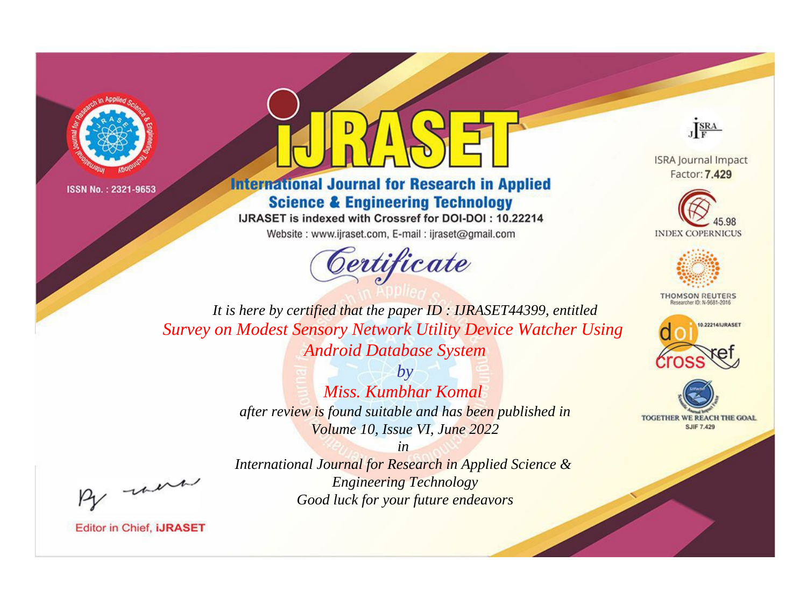



# **International Journal for Research in Applied Science & Engineering Technology**

IJRASET is indexed with Crossref for DOI-DOI: 10.22214

Website: www.ijraset.com, E-mail: ijraset@gmail.com





**ISRA Journal Impact** Factor: 7.429





**THOMSON REUTERS** 



TOGETHER WE REACH THE GOAL **SJIF 7.429** 

*It is here by certified that the paper ID : IJRASET44399, entitled Survey on Modest Sensory Network Utility Device Watcher Using Android Database System*

> *by Miss. Kumbhar Komal after review is found suitable and has been published in Volume 10, Issue VI, June 2022*

> > *in*

, un

*International Journal for Research in Applied Science & Engineering Technology Good luck for your future endeavors*